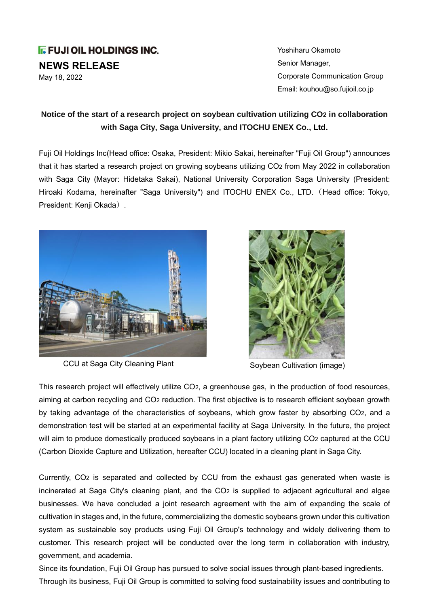## **IF FUJI OIL HOLDINGS INC.**

**NEWS RELEASE**

May 18, 2022

Yoshiharu Okamoto Senior Manager, Corporate Communication Group Email: kouhou@so.fujioil.co.jp

## **Notice of the start of a research project on soybean cultivation utilizing CO2 in collaboration with Saga City, Saga University, and ITOCHU ENEX Co., Ltd.**

Fuji Oil Holdings Inc(Head office: Osaka, President: Mikio Sakai, hereinafter "Fuji Oil Group") announces that it has started a research project on growing soybeans utilizing CO2 from May 2022 in collaboration with Saga City (Mayor: Hidetaka Sakai), National University Corporation Saga University (President: Hiroaki Kodama, hereinafter "Saga University") and ITOCHU ENEX Co., LTD.(Head office: Tokyo, President: Kenji Okada).



CCU at Saga City Cleaning Plant Soybean Cultivation (image)



This research project will effectively utilize CO2, a greenhouse gas, in the production of food resources, aiming at carbon recycling and CO2 reduction. The first objective is to research efficient soybean growth by taking advantage of the characteristics of soybeans, which grow faster by absorbing CO2, and a demonstration test will be started at an experimental facility at Saga University. In the future, the project will aim to produce domestically produced soybeans in a plant factory utilizing CO2 captured at the CCU (Carbon Dioxide Capture and Utilization, hereafter CCU) located in a cleaning plant in Saga City.

Currently, CO2 is separated and collected by CCU from the exhaust gas generated when waste is incinerated at Saga City's cleaning plant, and the CO2 is supplied to adjacent agricultural and algae businesses. We have concluded a joint research agreement with the aim of expanding the scale of cultivation in stages and, in the future, commercializing the domestic soybeans grown under this cultivation system as sustainable soy products using Fuji Oil Group's technology and widely delivering them to customer. This research project will be conducted over the long term in collaboration with industry, government, and academia.

Since its foundation, Fuji Oil Group has pursued to solve social issues through plant-based ingredients. Through its business, Fuji Oil Group is committed to solving food sustainability issues and contributing to